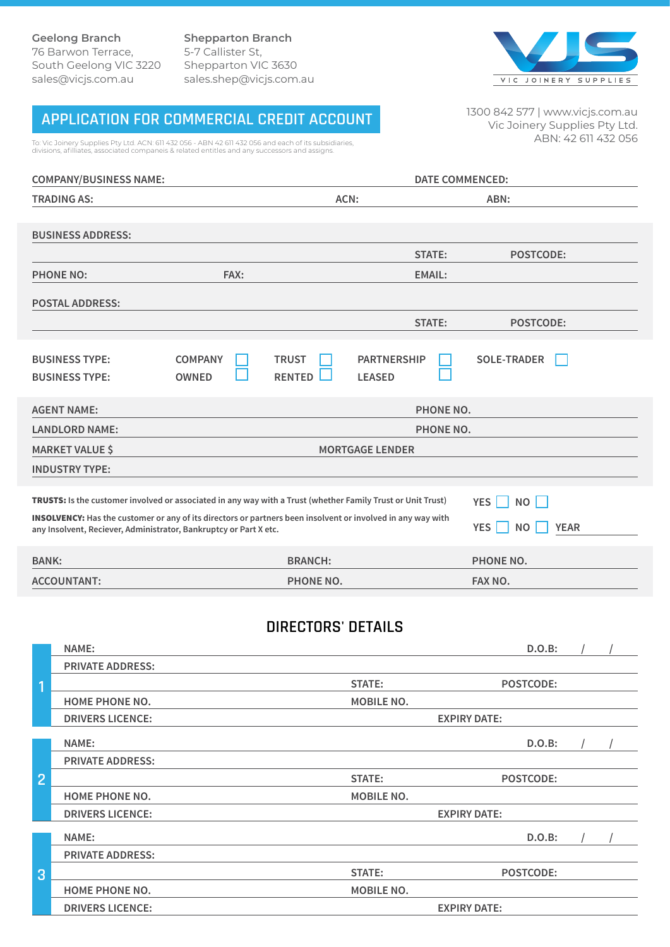**Shepparton Branch** 5-7 Callister St, Shepparton VIC 3630 sales.shep@vicjs.com.au



# **APPLICATION FOR COMMERCIAL CREDIT ACCOUNT**

To: Vic Joinery Supplies Pty Ltd. ACN: 611 432 056 - ABN 42 611 432 056 and each of its subsidiaries, divisions, afilliates, associated companeis & related entitles and any successors and assigns.

1300 842 577 | www.vicjs.com.au Vic Joinery Supplies Pty Ltd. ABN: 42 611 432 056

| <b>COMPANY/BUSINESS NAME:</b>                                                                                                                                                    |                                | <b>DATE COMMENCED:</b>        |                                     |                                        |
|----------------------------------------------------------------------------------------------------------------------------------------------------------------------------------|--------------------------------|-------------------------------|-------------------------------------|----------------------------------------|
| <b>TRADING AS:</b>                                                                                                                                                               |                                | ACN:                          |                                     | ABN:                                   |
| <b>BUSINESS ADDRESS:</b>                                                                                                                                                         |                                |                               |                                     |                                        |
|                                                                                                                                                                                  |                                |                               | <b>STATE:</b>                       | <b>POSTCODE:</b>                       |
| <b>PHONE NO:</b>                                                                                                                                                                 | FAX:                           |                               | <b>EMAIL:</b>                       |                                        |
| <b>POSTAL ADDRESS:</b>                                                                                                                                                           |                                |                               |                                     |                                        |
|                                                                                                                                                                                  |                                |                               | <b>STATE:</b>                       | <b>POSTCODE:</b>                       |
| <b>BUSINESS TYPE:</b><br><b>BUSINESS TYPE:</b>                                                                                                                                   | <b>COMPANY</b><br><b>OWNED</b> | <b>TRUST</b><br><b>RENTED</b> | <b>PARTNERSHIP</b><br><b>LEASED</b> | <b>SOLE-TRADER</b>                     |
| <b>AGENT NAME:</b>                                                                                                                                                               | PHONE NO.                      |                               |                                     |                                        |
| <b>LANDLORD NAME:</b>                                                                                                                                                            |                                | PHONE NO.                     |                                     |                                        |
| <b>MARKET VALUE \$</b>                                                                                                                                                           | <b>MORTGAGE LENDER</b>         |                               |                                     |                                        |
| <b>INDUSTRY TYPE:</b>                                                                                                                                                            |                                |                               |                                     |                                        |
| TRUSTS: Is the customer involved or associated in any way with a Trust (whether Family Trust or Unit Trust)<br>YES $\Box$<br>NO                                                  |                                |                               |                                     |                                        |
| INSOLVENCY: Has the customer or any of its directors or partners been insolvent or involved in any way with<br>any Insolvent, Reciever, Administrator, Bankruptcy or Part X etc. |                                |                               |                                     | YES<br><b>NO</b><br><b>YEAR</b>        |
| <b>BANK:</b>                                                                                                                                                                     |                                | <b>BRANCH:</b>                |                                     | PHONE NO.                              |
| <b>ACCOUNTANT:</b>                                                                                                                                                               |                                | PHONE NO.                     |                                     | FAX NO.                                |
| $\overline{a}$                                                                                                                                                                   |                                | <b>DIRECTORS' DETAILS</b>     |                                     | $\sim$ $\sim$ $\sim$<br>$\overline{1}$ |

|                | NAME:                   |                   | D.O.B:              |  |
|----------------|-------------------------|-------------------|---------------------|--|
|                | <b>PRIVATE ADDRESS:</b> |                   |                     |  |
| 1              |                         | STATE:            | POSTCODE:           |  |
|                | <b>HOME PHONE NO.</b>   | <b>MOBILE NO.</b> |                     |  |
|                | <b>DRIVERS LICENCE:</b> |                   | <b>EXPIRY DATE:</b> |  |
|                | NAME:                   |                   | D.O.B:              |  |
|                | <b>PRIVATE ADDRESS:</b> |                   |                     |  |
| $\overline{2}$ |                         | STATE:            | POSTCODE:           |  |
|                | <b>HOME PHONE NO.</b>   | <b>MOBILE NO.</b> |                     |  |
|                | <b>DRIVERS LICENCE:</b> |                   | <b>EXPIRY DATE:</b> |  |
|                | NAME:                   |                   | D.O.B:              |  |
| 3              | <b>PRIVATE ADDRESS:</b> |                   |                     |  |
|                |                         | <b>STATE:</b>     | <b>POSTCODE:</b>    |  |
|                | <b>HOME PHONE NO.</b>   | <b>MOBILE NO.</b> |                     |  |
|                | <b>DRIVERS LICENCE:</b> |                   | <b>EXPIRY DATE:</b> |  |
|                |                         |                   |                     |  |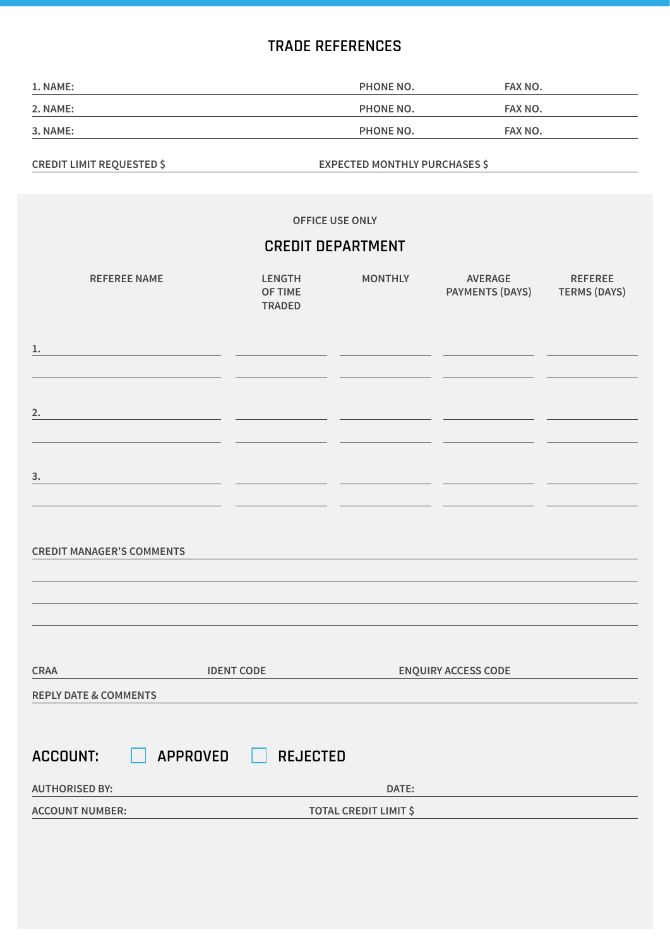### **TRADE REFERENCES**

| 1. NAME: | PHONE NO.        | FAX NO. |
|----------|------------------|---------|
| 2. NAME: | <b>PHONE NO.</b> | FAX NO. |
| 3. NAME: | PHONE NO.        | FAX NO. |

**CREDIT LIMIT REQUESTED \$ EXPECTED MONTHLY PURCHASES \$**

**OFFICE USE ONLY REFEREE NAME LENGTH OF TIME TRADED MONTHLY AVERAGE PAYMENTS (DAYS) TERMS (DAYS) REFEREE CREDIT DEPARTMENT 1. AUTHORISED BY: DATE: ACCOUNT NUMBER: TOTAL CREDIT LIMIT \$ CREDIT MANAGER'S COMMENTS CRAA IDENT CODE ENQUIRY ACCESS CODE REPLY DATE & COMMENTS 2. 3. ACCOUNT: APPROVED REJECTED**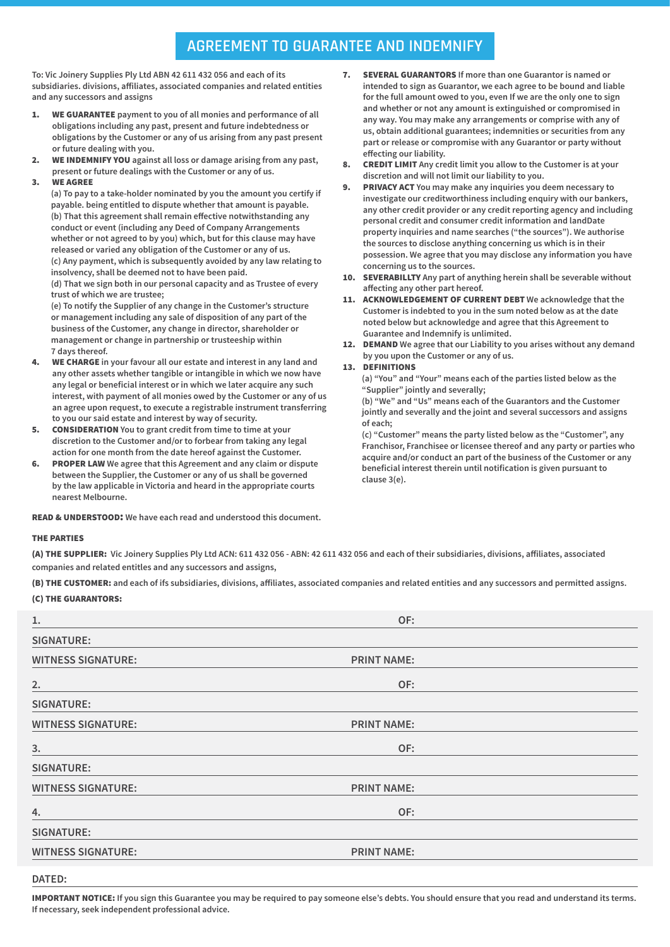## **AGREEMENT TO GUARANTEE AND INDEMNIFY**

**To: Vic Joinery Supplies Ply Ltd ABN 42 611 432 056 and each of its subsidiaries. divisions, affiliates, associated companies and related entities and any successors and assigns**

- 1. WE GUARANTEE **payment to you of all monies and performance of all obligations including any past, present and future indebtedness or obligations by the Customer or any of us arising from any past present or future dealing with you.**
- 2. WE INDEMNIFY YOU **against all loss or damage arising from any past, present or future dealings with the Customer or any of us.**
- 3. WE AGREE

**(a) To pay to a take-holder nominated by you the amount you certify if payable. being entitled to dispute whether that amount is payable. (b) That this agreement shall remain effective notwithstanding any conduct or event (including any Deed of Company Arrangements whether or not agreed to by you) which, but for this clause may have released or varied any obligation of the Customer or any of us. (c) Any payment, which is subsequently avoided by any law relating to insolvency, shall be deemed not to have been paid. (d) That we sign both in our personal capacity and as Trustee of every** 

**trust of which we are trustee; (e) To notify the Supplier of any change in the Customer's structure or management including any sale of disposition of any part of the business of the Customer, any change in director, shareholder or management or change in partnership or trusteeship within 7 days thereof.**

- 4. WE CHARGE **in your favour all our estate and interest in any land and any other assets whether tangible or intangible in which we now have any legal or beneficial interest or in which we later acquire any such interest, with payment of all monies owed by the Customer or any of us an agree upon request, to execute a registrable instrument transferring to you our said estate and interest by way of security.**
- 5. CONSIDERATION **You to grant credit from time to time at your discretion to the Customer and/or to forbear from taking any legal action for one month from the date hereof against the Customer.**
- 6. PROPER LAW **We agree that this Agreement and any claim or dispute between the Supplier, the Customer or any of us shall be governed by the law applicable in Victoria and heard in the appropriate courts nearest Melbourne.**

READ & UNDERSTOOD: **We have each read and understood this document.**

- 7. SEVERAL GUARANTORS **If more than one Guarantor is named or intended to sign as Guarantor, we each agree to be bound and liable for the full amount owed to you, even If we are the only one to sign and whether or not any amount is extinguished or compromised in any way. You may make any arrangements or comprise with any of us, obtain additional guarantees; indemnities or securities from any part or release or compromise with any Guarantor or party without effecting our liability.**
- 8. CREDIT LIMIT **Any credit limit you allow to the Customer is at your discretion and will not limit our liability to you.**
- 9. PRIVACY ACT **You may make any inquiries you deem necessary to investigate our creditworthiness including enquiry with our bankers, any other credit provider or any credit reporting agency and including personal credit and consumer credit information and landDate property inquiries and name searches ("the sources"). We authorise the sources to disclose anything concerning us which is in their possession. We agree that you may disclose any information you have concerning us to the sources.**
- 10. SEVERABILLTY **Any part of anything herein shall be severable without affecting any other part hereof.**
- 11. ACKNOWLEDGEMENT OF CURRENT DEBT **We acknowledge that the Customer is indebted to you in the sum noted below as at the date noted below but acknowledge and agree that this Agreement to Guarantee and Indemnify is unlimited.**
- 12. DEMAND **We agree that our Liability to you arises without any demand by you upon the Customer or any of us.**

#### 13. DEFINITIONS

**(a) "You" and "Your" means each of the parties listed below as the "Supplier" jointly and severally;**

**(b) "We" and "Us" means each of the Guarantors and the Customer jointly and severally and the joint and several successors and assigns of each;**

**(c) "Customer" means the party listed below as the "Customer", any Franchisor, Franchisee or licensee thereof and any party or parties who acquire and/or conduct an part of the business of the Customer or any beneficial interest therein until notification is given pursuant to clause 3(e).**

#### THE PARTIES

(A) THE SUPPLIER: **Vic Joinery Supplies Ply Ltd ACN: 611 432 056 - ABN: 42 611 432 056 and each of their subsidiaries, divisions, affiliates, associated companies and related entitles and any successors and assigns,** 

(B) THE CUSTOMER: **and each of ifs subsidiaries, divisions, affiliates, associated companies and related entities and any successors and permitted assigns.** (C) THE GUARANTORS:

| 1.                        | OF:                |  |
|---------------------------|--------------------|--|
| <b>SIGNATURE:</b>         |                    |  |
| <b>WITNESS SIGNATURE:</b> | <b>PRINT NAME:</b> |  |
| 2.                        | OF:                |  |
| <b>SIGNATURE:</b>         |                    |  |
| <b>WITNESS SIGNATURE:</b> | <b>PRINT NAME:</b> |  |
| 3.                        | OF:                |  |
| <b>SIGNATURE:</b>         |                    |  |
| <b>WITNESS SIGNATURE:</b> | <b>PRINT NAME:</b> |  |
| 4.                        | OF:                |  |
| <b>SIGNATURE:</b>         |                    |  |
| <b>WITNESS SIGNATURE:</b> | <b>PRINT NAME:</b> |  |

#### **DATED:**

IMPORTANT NOTICE: **If you sign this Guarantee you may be required to pay someone else's debts. You should ensure that you read and understand its terms. If necessary, seek independent professional advice.**